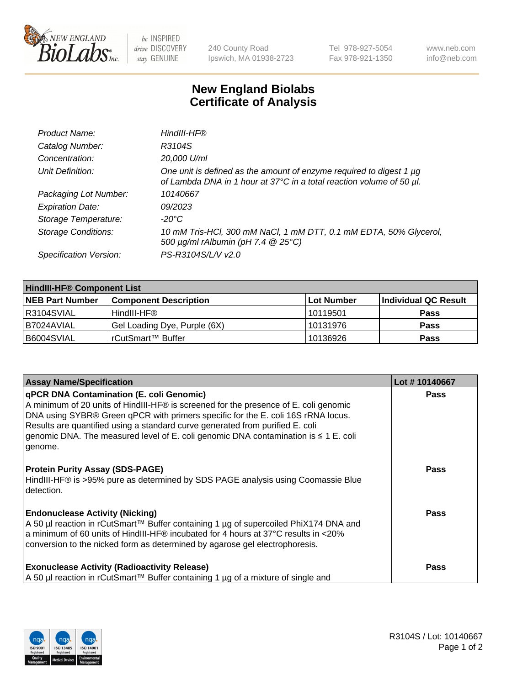

 $be$  INSPIRED drive DISCOVERY stay GENUINE

240 County Road Ipswich, MA 01938-2723 Tel 978-927-5054 Fax 978-921-1350 www.neb.com info@neb.com

## **New England Biolabs Certificate of Analysis**

| Product Name:              | HindIII-HF®                                                                                                                                 |
|----------------------------|---------------------------------------------------------------------------------------------------------------------------------------------|
| Catalog Number:            | R3104S                                                                                                                                      |
| Concentration:             | 20,000 U/ml                                                                                                                                 |
| Unit Definition:           | One unit is defined as the amount of enzyme required to digest 1 µg<br>of Lambda DNA in 1 hour at 37°C in a total reaction volume of 50 µl. |
| Packaging Lot Number:      | 10140667                                                                                                                                    |
| <b>Expiration Date:</b>    | 09/2023                                                                                                                                     |
| Storage Temperature:       | $-20^{\circ}$ C                                                                                                                             |
| <b>Storage Conditions:</b> | 10 mM Tris-HCl, 300 mM NaCl, 1 mM DTT, 0.1 mM EDTA, 50% Glycerol,<br>500 $\mu$ g/ml rAlbumin (pH 7.4 $@$ 25°C)                              |
| Specification Version:     | PS-R3104S/L/V v2.0                                                                                                                          |

| <b>HindIII-HF® Component List</b> |                              |                   |                      |  |  |
|-----------------------------------|------------------------------|-------------------|----------------------|--|--|
| <b>NEB Part Number</b>            | <b>Component Description</b> | <b>Lot Number</b> | Individual QC Result |  |  |
| IR3104SVIAL                       | HindIII-HF®                  | 10119501          | <b>Pass</b>          |  |  |
| I B7024AVIAL                      | Gel Loading Dye, Purple (6X) | 10131976          | <b>Pass</b>          |  |  |
| B6004SVIAL                        | rCutSmart™ Buffer            | 10136926          | <b>Pass</b>          |  |  |

| <b>Assay Name/Specification</b>                                                                                                                                                                                                                                                                                                                                                                                     | Lot #10140667 |
|---------------------------------------------------------------------------------------------------------------------------------------------------------------------------------------------------------------------------------------------------------------------------------------------------------------------------------------------------------------------------------------------------------------------|---------------|
| <b>qPCR DNA Contamination (E. coli Genomic)</b><br>A minimum of 20 units of HindIII-HF® is screened for the presence of E. coli genomic<br>DNA using SYBR® Green qPCR with primers specific for the E. coli 16S rRNA locus.<br>Results are quantified using a standard curve generated from purified E. coli<br>genomic DNA. The measured level of E. coli genomic DNA contamination is $\leq 1$ E. coli<br>genome. | <b>Pass</b>   |
| <b>Protein Purity Assay (SDS-PAGE)</b><br>HindIII-HF® is >95% pure as determined by SDS PAGE analysis using Coomassie Blue<br>detection.                                                                                                                                                                                                                                                                            | Pass          |
| <b>Endonuclease Activity (Nicking)</b><br>A 50 µl reaction in rCutSmart™ Buffer containing 1 µg of supercoiled PhiX174 DNA and<br>a minimum of 60 units of HindIII-HF® incubated for 4 hours at 37°C results in <20%<br>conversion to the nicked form as determined by agarose gel electrophoresis.                                                                                                                 | Pass          |
| <b>Exonuclease Activity (Radioactivity Release)</b><br>A 50 µl reaction in rCutSmart™ Buffer containing 1 µg of a mixture of single and                                                                                                                                                                                                                                                                             | <b>Pass</b>   |